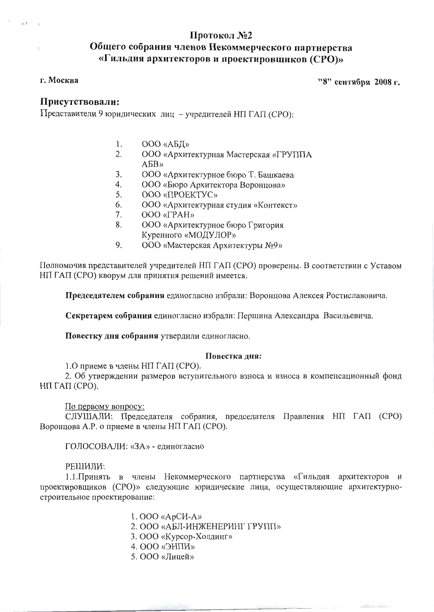# Протокол №2 Общего собрания членов Некоммерческого партнерства «Гильдия архитекторов и проектировщиков (СРО)»

#### г. Москва

 $F^{\pm}$  :

 $\sim$   $\sim$ 

"8" сентября 2008 г.

## Присутствовали:

Представители 9 юридических лиц - учредителей НП ГАП (СРО):

- 1. ООО «АБД»
- ООО «Архитектурная Мастерская «ГРУППА  $2.$  $ABB$ »
- $3<sub>1</sub>$ ООО «Архитектурное бюро Т. Башкаева
- $\overline{4}$ . ООО «Бюро Архитектора Воронцова»
- **ООО «ПРОЕКТУС»**  $5<sub>1</sub>$
- 6. ООО «Архитектурная студия «Контекст»
- **ООО «ГРАН»** 7.
- 8. ООО «Архитектурное бюро Григория Куренного «МОДУЛОР»
- 9. ООО «Мастерская Архитектуры №9»

Полномочия представителей учредителей НП ГАП (СРО) проверены. В соответствии с Уставом НП ГАП (СРО) кворум для принятия решений имеется.

Председателем собрания единогласно избрали: Воронцова Алексея Ростиславовича.

Секретарем собрания единогласно избрали: Першина Александра Васильевича.

Повестку дня собрания утвердили единогласно.

### Повестка дня:

1.0 приеме в члены НП ГАП (СРО).

2. Об утверждении размеров вступительного взноса и взноса в компенсационный фонд НП ГАП (СРО).

#### По первому вопросу:

СЛУШАЛИ: Председателя собрания, председателя Правления НП ГАП (СРО) Воронцова А.Р. о приеме в члены НП ГАП (СРО).

ГОЛОСОВАЛИ: «ЗА» - единогласно

#### РЕШИЛИ:

1.1. Принять в члены Некоммерческого партнерства «Гильдия архитекторов и проектировщиков (СРО)» следующие юридические лица, осуществляющие архитектурностроительное проектирование:

1.000 «ApCH-A»

- 2. ООО «АБЛ-ИНЖЕНЕРИНГ ГРУПП»
- 3. ООО «Курсор-Холдинг»
- 4. ООО «ЭНПИ»
- 5. ООО «Лицей»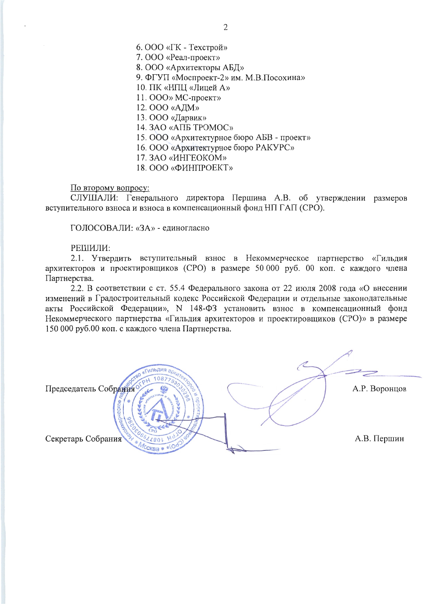6. ООО «ГК - Техстрой» 7. ООО «Реал-проект» 8. ООО «Архитекторы АБД» 9. ФГУП «Моспроект-2» им. М.В.Посохина» 10. ПК «НПЦ «Лицей А» 11. ООО» МС-проект» 12. ООО «АДМ» 13. ООО «Дарвик»

14. 3AO «AIIE TPOMOC»

15. ООО «Архитектурное бюро АБВ - проект»

16. ООО «Архитектурное бюро РАКУРС»

17. 3AO «ИНГЕОКОМ»

18. ООО «ФИНПРОЕКТ»

По второму вопросу:

СЛУШАЛИ: Генерального директора Першина А.В. об утверждении размеров вступительного взноса и взноса в компенсационный фонд НП ГАП (СРО).

ГОЛОСОВАЛИ: «ЗА» - единогласно

#### РЕШИЛИ:

2.1. Утвердить вступительный взнос в Некоммерческое партнерство «Гильдия архитекторов и проектировщиков (СРО) в размере 50 000 руб. 00 коп. с каждого члена Партнерства.

2.2. В соответствии с ст. 55.4 Федерального закона от 22 июля 2008 года «О внесении изменений в Градостроительный кодекс Российской Федерации и отдельные законодательные акты Российской Федерации», N 148-ФЗ установить взнос в компенсационный фонд Некоммерческого партнерства «Гильдия архитекторов и проектировщиков (СРО)» в размере 150 000 руб.00 коп. с каждого члена Партнерства.